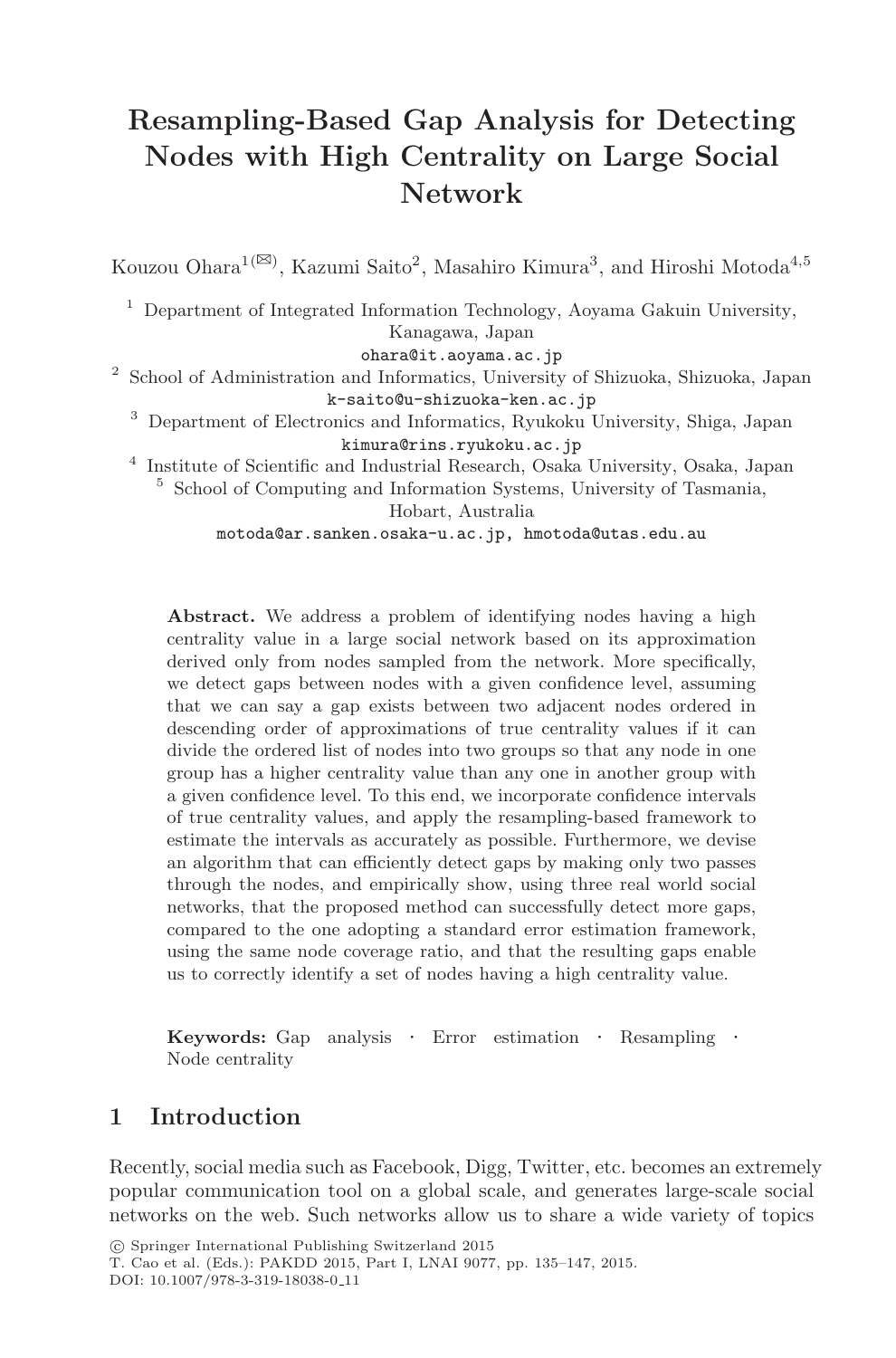# **Resampling-Based Gap Analysis for Detecting Nodes with High Centrality on Large Social Network**

Kouzou Ohara<sup>1( $\boxtimes$ )</sup>, Kazumi Saito<sup>2</sup>, Masahiro Kimura<sup>3</sup>, and Hiroshi Motoda<sup>4,5</sup>

<sup>1</sup> Department of Integrated Information Technology, Aoyama Gakuin University, Kanagawa, Japan ohara@it.aoyama.ac.jp

<sup>2</sup> School of Administration and Informatics, University of Shizuoka, Shizuoka, Japan k-saito@u-shizuoka-ken.ac.jp

<sup>3</sup> Department of Electronics and Informatics, Ryukoku University, Shiga, Japan kimura@rins.ryukoku.ac.jp

<sup>4</sup> Institute of Scientific and Industrial Research, Osaka University, Osaka, Japan <sup>5</sup> School of Computing and Information Systems, University of Tasmania,

Hobart, Australia

motoda@ar.sanken.osaka-u.ac.jp, hmotoda@utas.edu.au

**Abstract.** We address a problem of identifying nodes having a high centrality value in a large social network based on its approximation derived only from nodes sampled from the network. More specifically, we detect gaps between nodes with a given confidence level, assuming that we can say a gap exists between two adjacent nodes ordered in descending order of approximations of true centrality values if it can divide the ordered list of nodes into two groups so that any node in one group has a higher centrality value than any one in another group with a given confidence level. To this end, we incorporate confidence intervals of true centrality values, and apply the resampling-based framework to estimate the intervals as accurately as possible. Furthermore, we devise an algorithm that can efficiently detect gaps by making only two passes through the nodes, and empirically show, using three real world social networks, that the proposed method can successfully detect more gaps, compared to the one adopting a standard error estimation framework, using the same node coverage ratio, and that the resulting gaps enable us to correctly identify a set of nodes having a high centrality value.

**Keywords:** Gap analysis · Error estimation · Resampling · Node centrality

## **1 Introduction**

Recently, social media such as Facebook, Digg, Twitter, etc. becomes an extremely popular communication tool on a global scale, and generates large-scale social networks on the web. Such networks allow us to share a wide variety of topics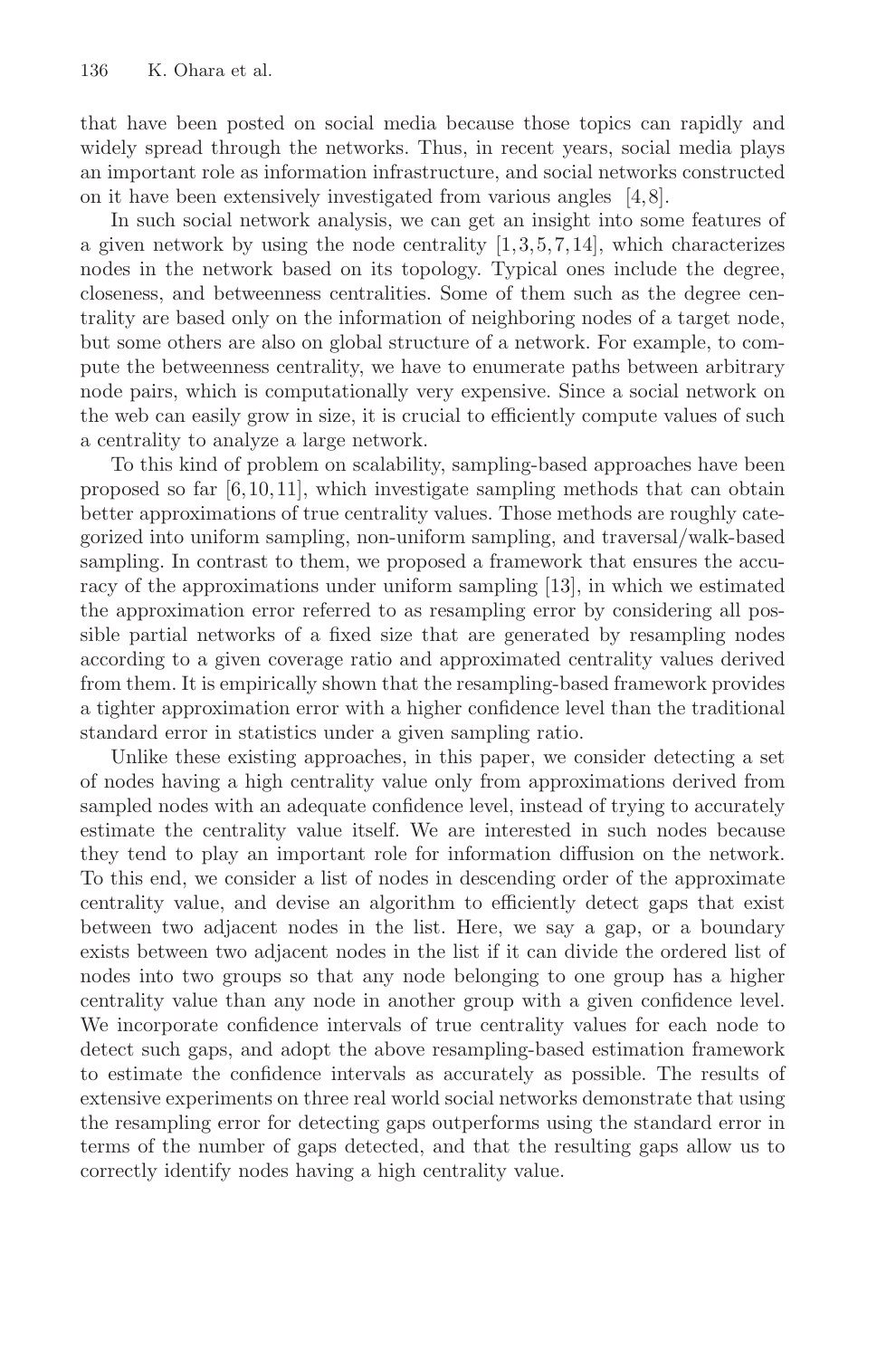that have been posted on social media because those topics can rapidly and widely spread through the networks. Thus, in recent years, social media plays an important role as information infrastructure, and social networks constructed on it have been extensively investigated from various angles [4,8].

In such social network analysis, we can get an insight into some features of a given network by using the node centrality  $[1,3,5,7,14]$ , which characterizes nodes in the network based on its topology. Typical ones include the degree, closeness, and betweenness centralities. Some of them such as the degree centrality are based only on the information of neighboring nodes of a target node, but some others are also on global structure of a network. For example, to compute the betweenness centrality, we have to enumerate paths between arbitrary node pairs, which is computationally very expensive. Since a social network on the web can easily grow in size, it is crucial to efficiently compute values of such a centrality to analyze a large network.

To this kind of problem on scalability, sampling-based approaches have been proposed so far [6,10,11], which investigate sampling methods that can obtain better approximations of true centrality values. Those methods are roughly categorized into uniform sampling, non-uniform sampling, and traversal/walk-based sampling. In contrast to them, we proposed a framework that ensures the accuracy of the approximations under uniform sampling [13], in which we estimated the approximation error referred to as resampling error by considering all possible partial networks of a fixed size that are generated by resampling nodes according to a given coverage ratio and approximated centrality values derived from them. It is empirically shown that the resampling-based framework provides a tighter approximation error with a higher confidence level than the traditional standard error in statistics under a given sampling ratio.

Unlike these existing approaches, in this paper, we consider detecting a set of nodes having a high centrality value only from approximations derived from sampled nodes with an adequate confidence level, instead of trying to accurately estimate the centrality value itself. We are interested in such nodes because they tend to play an important role for information diffusion on the network. To this end, we consider a list of nodes in descending order of the approximate centrality value, and devise an algorithm to efficiently detect gaps that exist between two adjacent nodes in the list. Here, we say a gap, or a boundary exists between two adjacent nodes in the list if it can divide the ordered list of nodes into two groups so that any node belonging to one group has a higher centrality value than any node in another group with a given confidence level. We incorporate confidence intervals of true centrality values for each node to detect such gaps, and adopt the above resampling-based estimation framework to estimate the confidence intervals as accurately as possible. The results of extensive experiments on three real world social networks demonstrate that using the resampling error for detecting gaps outperforms using the standard error in terms of the number of gaps detected, and that the resulting gaps allow us to correctly identify nodes having a high centrality value.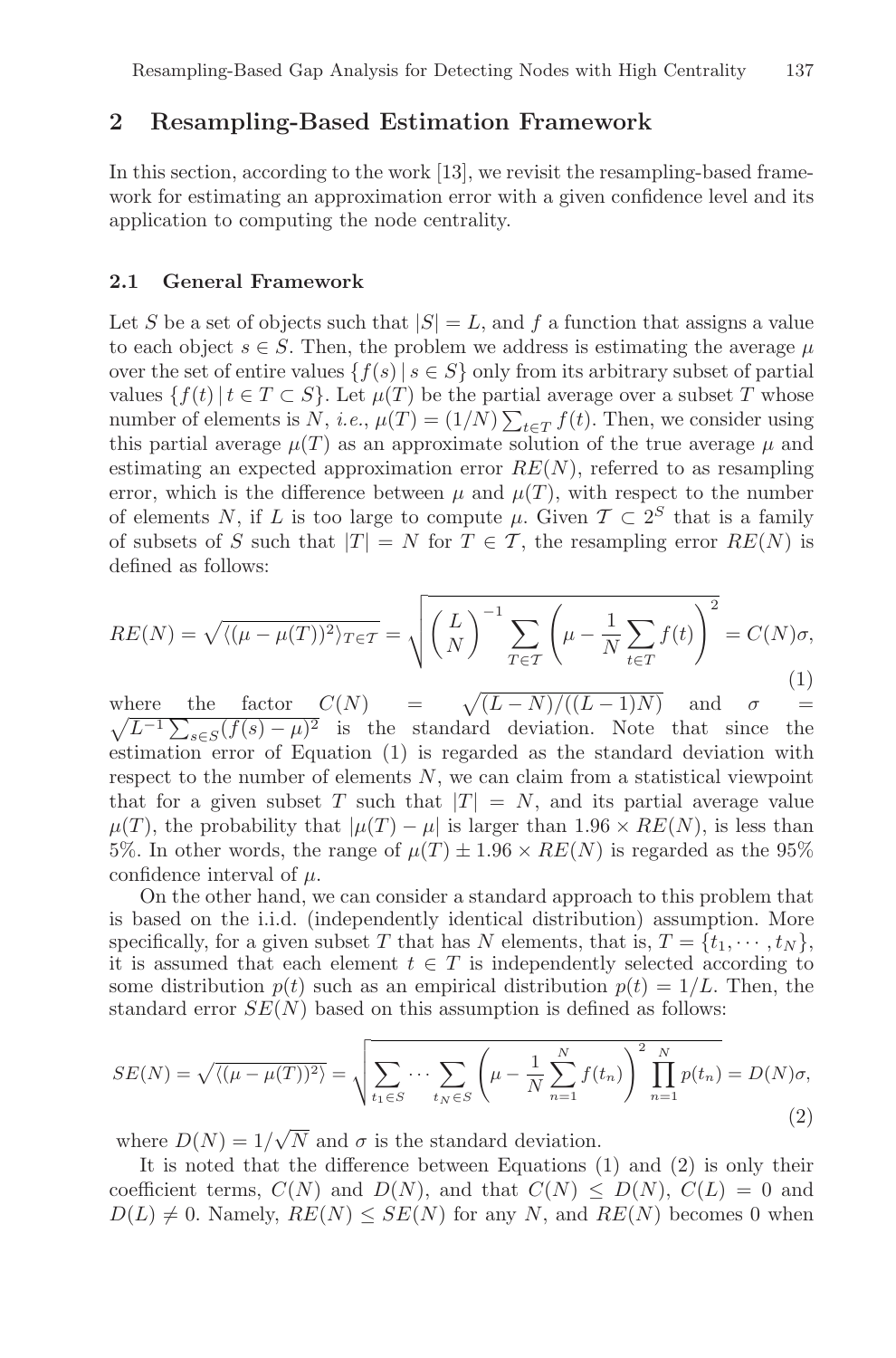### **2 Resampling-Based Estimation Framework**

In this section, according to the work [13], we revisit the resampling-based framework for estimating an approximation error with a given confidence level and its application to computing the node centrality.

#### **2.1 General Framework**

Let S be a set of objects such that  $|S| = L$ , and f a function that assigns a value to each object  $s \in S$ . Then, the problem we address is estimating the average  $\mu$ over the set of entire values  $\{f(s) | s \in S\}$  only from its arbitrary subset of partial values  $\{f(t)|t \in T \subset S\}$ . Let  $\mu(T)$  be the partial average over a subset T whose number of elements is  $N$ , *i.e.*,  $\mu(T) = (1/N) \sum_{t \in T} f(t)$ . Then, we consider using this partial average  $\mu(T)$  as an approximate solution of the true average  $\mu$  and estimating an expected approximation error  $RE(N)$ , referred to as resampling error, which is the difference between  $\mu$  and  $\mu(T)$ , with respect to the number of elements N, if L is too large to compute  $\mu$ . Given  $\mathcal{T} \subset 2^S$  that is a family of subsets of S such that  $|T| = N$  for  $T \in \mathcal{T}$ , the resampling error  $RE(N)$  is defined as follows:

$$
RE(N) = \sqrt{\langle (\mu - \mu(T))^2 \rangle_{T \in \mathcal{T}}} = \sqrt{\left(\frac{L}{N}\right)^{-1} \sum_{T \in \mathcal{T}} \left(\mu - \frac{1}{N} \sum_{t \in T} f(t)\right)^2} = C(N)\sigma,
$$
\n(1)

where the factor  $C(N) = \sqrt{(L-N)/((L-1)N)}$  and  $\sigma =$  $\sqrt{L^{-1}\sum_{s\in S}(f(s)-\mu)^2}$  is the standard deviation. Note that since the estimation error of Equation (1) is regarded as the standard deviation with respect to the number of elements  $N$ , we can claim from a statistical viewpoint that for a given subset T such that  $|T| = N$ , and its partial average value  $\mu(T)$ , the probability that  $|\mu(T) - \mu|$  is larger than  $1.96 \times RE(N)$ , is less than 5%. In other words, the range of  $\mu(T) \pm 1.96 \times RE(N)$  is regarded as the 95% confidence interval of  $\mu$ .

On the other hand, we can consider a standard approach to this problem that is based on the i.i.d. (independently identical distribution) assumption. More specifically, for a given subset T that has N elements, that is,  $T = \{t_1, \dots, t_N\}$ , it is assumed that each element  $t \in T$  is independently selected according to some distribution  $p(t)$  such as an empirical distribution  $p(t)=1/L$ . Then, the standard error  $SE(N)$  based on this assumption is defined as follows:

$$
SE(N) = \sqrt{\langle (\mu - \mu(T))^2 \rangle} = \sqrt{\sum_{t_1 \in S} \cdots \sum_{t_N \in S} \left( \mu - \frac{1}{N} \sum_{n=1}^N f(t_n) \right)^2 \prod_{n=1}^N p(t_n)} = D(N)\sigma,
$$
\n(2)

where  $D(N)=1/$ N and  $\sigma$  is the standard deviation.

It is noted that the difference between Equations (1) and (2) is only their coefficient terms,  $C(N)$  and  $D(N)$ , and that  $C(N) \leq D(N)$ ,  $C(L) = 0$  and  $D(L) \neq 0$ . Namely,  $RE(N) \leq SE(N)$  for any N, and  $RE(N)$  becomes 0 when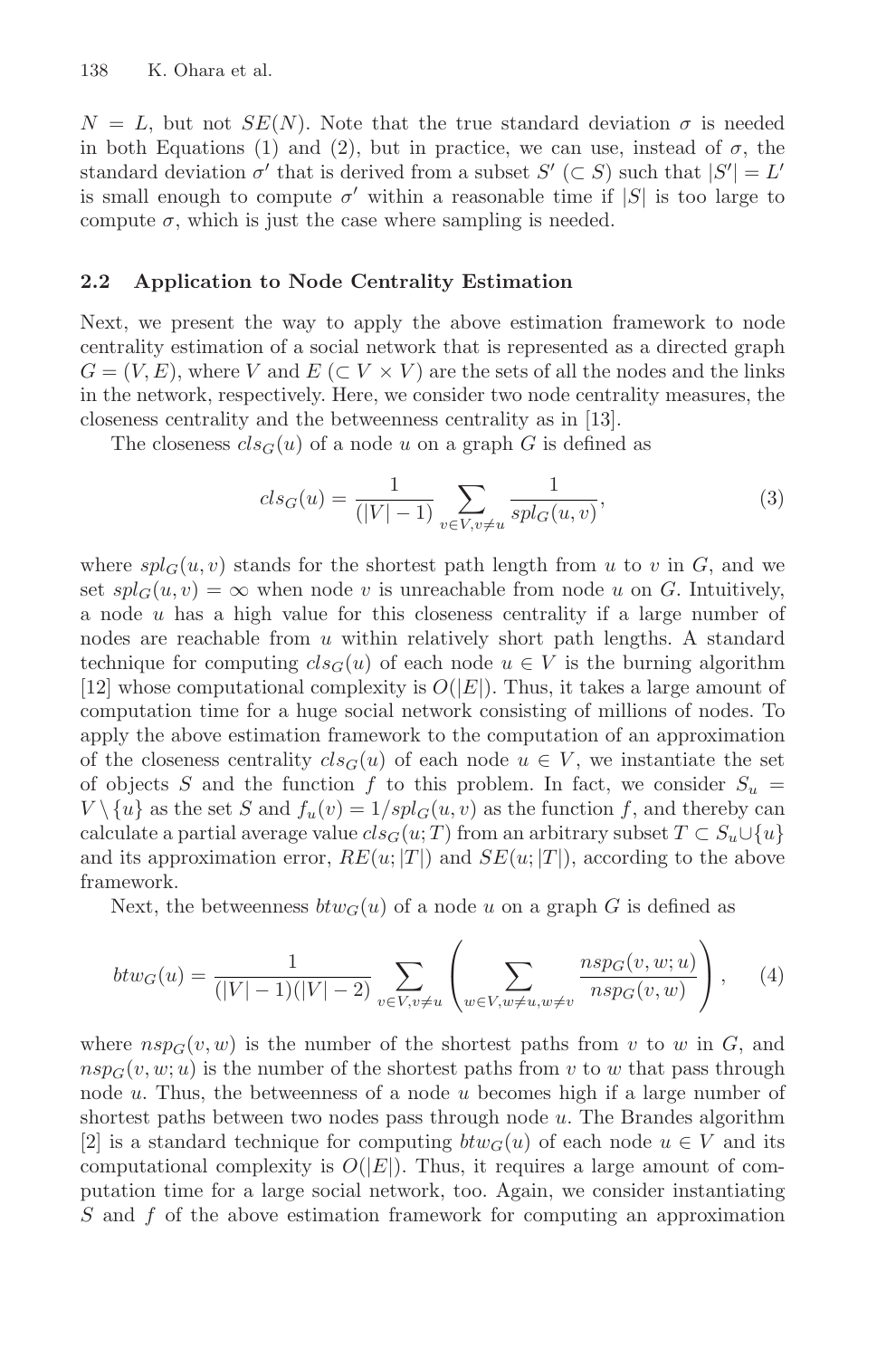$N = L$ , but not  $SE(N)$ . Note that the true standard deviation  $\sigma$  is needed in both Equations (1) and (2), but in practice, we can use, instead of  $\sigma$ , the standard deviation  $\sigma'$  that is derived from a subset  $S'$  ( $\subset S$ ) such that  $|S'| = L'$ is small enough to compute  $\sigma'$  within a reasonable time if  $|S|$  is too large to compute  $\sigma$ , which is just the case where sampling is needed.

#### **2.2 Application to Node Centrality Estimation**

Next, we present the way to apply the above estimation framework to node centrality estimation of a social network that is represented as a directed graph  $G = (V, E)$ , where V and  $E (C V \times V)$  are the sets of all the nodes and the links in the network, respectively. Here, we consider two node centrality measures, the closeness centrality and the betweenness centrality as in [13].

The closeness  $cls_G(u)$  of a node u on a graph G is defined as

$$
cls_G(u) = \frac{1}{(|V|-1)} \sum_{v \in V, v \neq u} \frac{1}{spl_G(u, v)},
$$
\n(3)

where  $spl<sub>G</sub>(u, v)$  stands for the shortest path length from u to v in G, and we set  $spl<sub>G</sub>(u, v) = \infty$  when node v is unreachable from node u on G. Intuitively, a node  $u$  has a high value for this closeness centrality if a large number of nodes are reachable from  $u$  within relatively short path lengths. A standard technique for computing  $cls_G(u)$  of each node  $u \in V$  is the burning algorithm [12] whose computational complexity is  $O(|E|)$ . Thus, it takes a large amount of computation time for a huge social network consisting of millions of nodes. To apply the above estimation framework to the computation of an approximation of the closeness centrality  $cls_G(u)$  of each node  $u \in V$ , we instantiate the set of objects S and the function f to this problem. In fact, we consider  $S_u$  =  $V \setminus \{u\}$  as the set S and  $f_u(v)=1/spl<sub>G</sub>(u, v)$  as the function f, and thereby can calculate a partial average value  $cls_G(u; T)$  from an arbitrary subset  $T \subset S_u \cup \{u\}$ and its approximation error,  $RE(u; |T|)$  and  $SE(u; |T|)$ , according to the above framework.

Next, the betweenness  $btw_G(u)$  of a node u on a graph G is defined as

$$
btw_G(u) = \frac{1}{(|V|-1)(|V|-2)} \sum_{v \in V, v \neq u} \left( \sum_{w \in V, w \neq u, w \neq v} \frac{nsp_G(v, w; u)}{nsp_G(v, w)} \right), \quad (4)
$$

where  $nsp<sub>G</sub>(v, w)$  is the number of the shortest paths from v to w in G, and  $nsp<sub>G</sub>(v, w; u)$  is the number of the shortest paths from v to w that pass through node  $u$ . Thus, the betweenness of a node  $u$  becomes high if a large number of shortest paths between two nodes pass through node u. The Brandes algorithm [2] is a standard technique for computing  $btw_G(u)$  of each node  $u \in V$  and its computational complexity is  $O(|E|)$ . Thus, it requires a large amount of computation time for a large social network, too. Again, we consider instantiating S and f of the above estimation framework for computing an approximation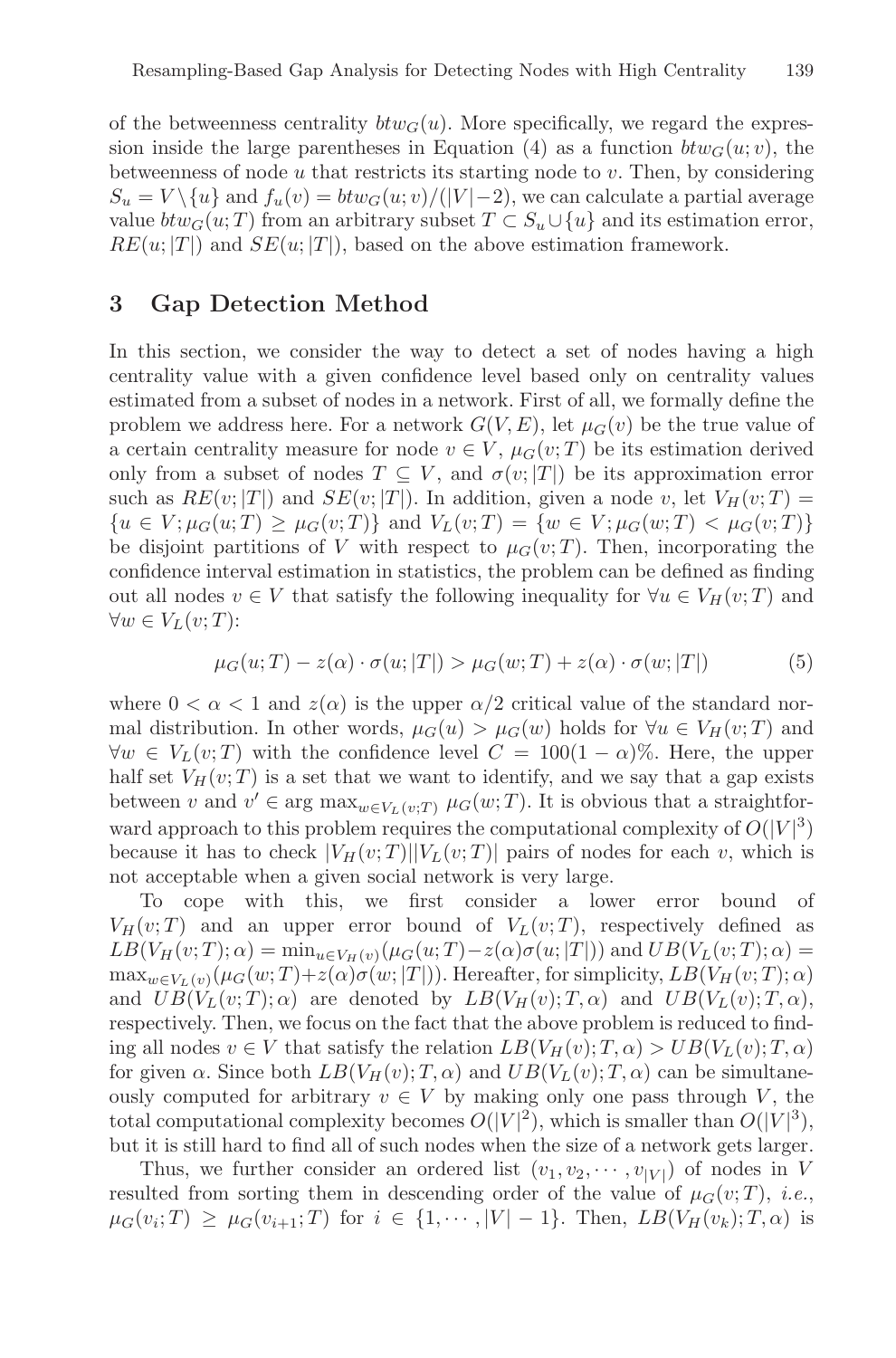of the betweenness centrality  $btw_G(u)$ . More specifically, we regard the expression inside the large parentheses in Equation (4) as a function  $btw_G(u; v)$ , the betweenness of node  $u$  that restricts its starting node to  $v$ . Then, by considering  $S_u = V \setminus \{u\}$  and  $f_u(v) = \frac{btw_G(u; v)}{ |V| - 2}$ , we can calculate a partial average value  $btw_G(u; T)$  from an arbitrary subset  $T \subset S_u \cup \{u\}$  and its estimation error,  $RE(u; |T|)$  and  $SE(u; |T|)$ , based on the above estimation framework.

### **3 Gap Detection Method**

In this section, we consider the way to detect a set of nodes having a high centrality value with a given confidence level based only on centrality values estimated from a subset of nodes in a network. First of all, we formally define the problem we address here. For a network  $G(V, E)$ , let  $\mu_G(v)$  be the true value of a certain centrality measure for node  $v \in V$ ,  $\mu_G(v;T)$  be its estimation derived only from a subset of nodes  $T \subseteq V$ , and  $\sigma(v;|T|)$  be its approximation error such as  $RE(v; |T|)$  and  $SE(v; |T|)$ . In addition, given a node v, let  $V_H(v; T)$  ${u \in V; \mu_G(u;T) \geq \mu_G(v;T)}$  and  $V_L(v;T) = {w \in V; \mu_G(w;T) < \mu_G(v;T)}$ be disjoint partitions of V with respect to  $\mu_G(v;T)$ . Then, incorporating the confidence interval estimation in statistics, the problem can be defined as finding out all nodes  $v \in V$  that satisfy the following inequality for  $\forall u \in V_H(v;T)$  and  $\forall w \in V_L(v;T)$ :

$$
\mu_G(u;T) - z(\alpha) \cdot \sigma(u;|T|) > \mu_G(w;T) + z(\alpha) \cdot \sigma(w;|T|)
$$
\n<sup>(5)</sup>

where  $0 < \alpha < 1$  and  $z(\alpha)$  is the upper  $\alpha/2$  critical value of the standard normal distribution. In other words,  $\mu_G(u) > \mu_G(w)$  holds for  $\forall u \in V_H(v;T)$  and  $\forall w \in V_L(v;T)$  with the confidence level  $C = 100(1 - \alpha)\%$ . Here, the upper half set  $V_H(v;T)$  is a set that we want to identify, and we say that a gap exists between v and  $v' \in \arg \max_{w \in V_L(v;T)} \mu_G(w;T)$ . It is obvious that a straightforward approach to this problem requires the computational complexity of  $O(|V|^3)$ because it has to check  $|V_H(v;T)||V_L(v;T)|$  pairs of nodes for each v, which is not acceptable when a given social network is very large.

To cope with this, we first consider a lower error bound of  $V_H(v;T)$  and an upper error bound of  $V_L(v;T)$ , respectively defined as  $LB(V_H(v;T); \alpha) = \min_{u \in V_H(v)} (\mu_G(u;T) - z(\alpha)\sigma(u;T))$  and  $UB(V_L(v;T); \alpha) =$  $\max_{w \in V_L(v)} (\mu_G(w; T) + z(\alpha)\sigma(w; |T|))$ . Hereafter, for simplicity,  $LB(V_H(v; T); \alpha)$ and  $UB(V_L(v; T); \alpha)$  are denoted by  $LB(V_H(v); T, \alpha)$  and  $UB(V_L(v); T, \alpha)$ , respectively. Then, we focus on the fact that the above problem is reduced to finding all nodes  $v \in V$  that satisfy the relation  $LB(V_H(v); T, \alpha) > UB(V_L(v); T, \alpha)$ for given  $\alpha$ . Since both  $LB(V_H(v); T, \alpha)$  and  $UB(V_L(v); T, \alpha)$  can be simultaneously computed for arbitrary  $v \in V$  by making only one pass through V, the total computational complexity becomes  $O(|V|^2)$ , which is smaller than  $O(|V|^3)$ , but it is still hard to find all of such nodes when the size of a network gets larger.

Thus, we further consider an ordered list  $(v_1, v_2, \dots, v_{|V|})$  of nodes in V resulted from sorting them in descending order of the value of  $\mu_G(v;T)$ , *i.e.*,  $\mu_G(v_i;T) \geq \mu_G(v_{i+1};T)$  for  $i \in \{1,\dots,|V|-1\}$ . Then,  $LB(V_H(v_k);T,\alpha)$  is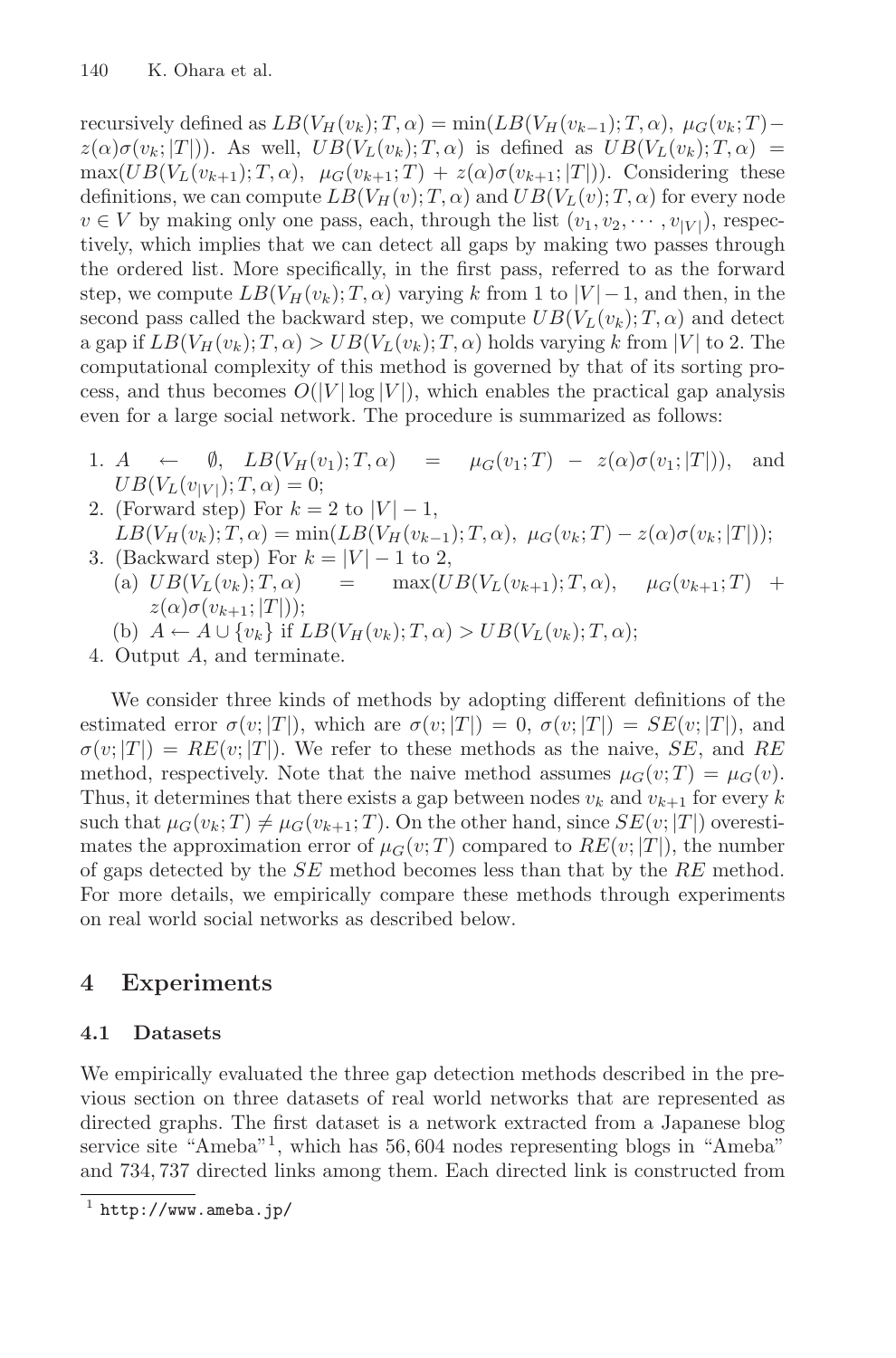recursively defined as  $LB(V_H(v_k); T, \alpha) = \min(LB(V_H(v_{k-1}); T, \alpha), \mu_G(v_k; T)$  $z(\alpha)\sigma(v_k;|T|)$ ). As well,  $UB(V_L(v_k);T,\alpha)$  is defined as  $UB(V_L(v_k);T,\alpha)$  =  $\max(UB(V_L(v_{k+1});T,\alpha), \mu_G(v_{k+1};T) + z(\alpha)\sigma(v_{k+1};T)).$  Considering these definitions, we can compute  $LB(V_H(v);T,\alpha)$  and  $UB(V_L(v);T,\alpha)$  for every node  $v \in V$  by making only one pass, each, through the list  $(v_1, v_2, \dots, v_{|V|})$ , respectively, which implies that we can detect all gaps by making two passes through the ordered list. More specifically, in the first pass, referred to as the forward step, we compute  $LB(V_H(v_k); T, \alpha)$  varying k from 1 to  $|V| - 1$ , and then, in the second pass called the backward step, we compute  $UB(V<sub>L</sub>(v<sub>k</sub>); T, \alpha)$  and detect a gap if  $LB(V_H(v_k); T, \alpha) > UB(V_L(v_k); T, \alpha)$  holds varying k from |V| to 2. The computational complexity of this method is governed by that of its sorting process, and thus becomes  $O(|V| \log |V|)$ , which enables the practical gap analysis even for a large social network. The procedure is summarized as follows:

- 1.  $A \leftarrow \emptyset$ ,  $LB(V_H(v_1); T, \alpha) = \mu_G(v_1; T) z(\alpha) \sigma(v_1; |T|)$ , and  $UB(V_L(v_{|V|}); T, \alpha) = 0;$
- 2. (Forward step) For  $k = 2$  to  $|V| 1$ ,  $LB(V_H(v_k);T,\alpha) = \min(LB(V_H(v_{k-1});T,\alpha), \ \mu_G(v_k;T) - z(\alpha)\sigma(v_k;|T|));$
- 3. (Backward step) For  $k = |V| 1$  to 2, (a)  $UB(V_L(v_k); T, \alpha)$  = max $(UB(V_L(v_{k+1}); T, \alpha), \mu_G(v_{k+1}; T)$  +  $z(\alpha)\sigma(v_{k+1};|T|));$ 
	- (b)  $A \leftarrow A \cup \{v_k\}$  if  $LB(V_H(v_k); T, \alpha) > UB(V_L(v_k); T, \alpha);$
- 4. Output A, and terminate.

We consider three kinds of methods by adopting different definitions of the estimated error  $\sigma(v;|T|)$ , which are  $\sigma(v;|T|) = 0$ ,  $\sigma(v;|T|) = SE(v;|T|)$ , and  $\sigma(v;|T|) = RE(v;|T|)$ . We refer to these methods as the naive, SE, and RE method, respectively. Note that the naive method assumes  $\mu_G(v;T) = \mu_G(v)$ . Thus, it determines that there exists a gap between nodes  $v_k$  and  $v_{k+1}$  for every k such that  $\mu_G(v_k;T) \neq \mu_G(v_{k+1};T)$ . On the other hand, since  $SE(v;|T|)$  overestimates the approximation error of  $\mu_G(v;T)$  compared to  $RE(v;|T|)$ , the number of gaps detected by the  $SE$  method becomes less than that by the  $RE$  method. For more details, we empirically compare these methods through experiments on real world social networks as described below.

# **4 Experiments**

### **4.1 Datasets**

We empirically evaluated the three gap detection methods described in the previous section on three datasets of real world networks that are represented as directed graphs. The first dataset is a network extracted from a Japanese blog service site "Ameba"<sup>1</sup>, which has 56, 604 nodes representing blogs in "Ameba" and 734, 737 directed links among them. Each directed link is constructed from

 $\overline{1}$  http://www.ameba.jp/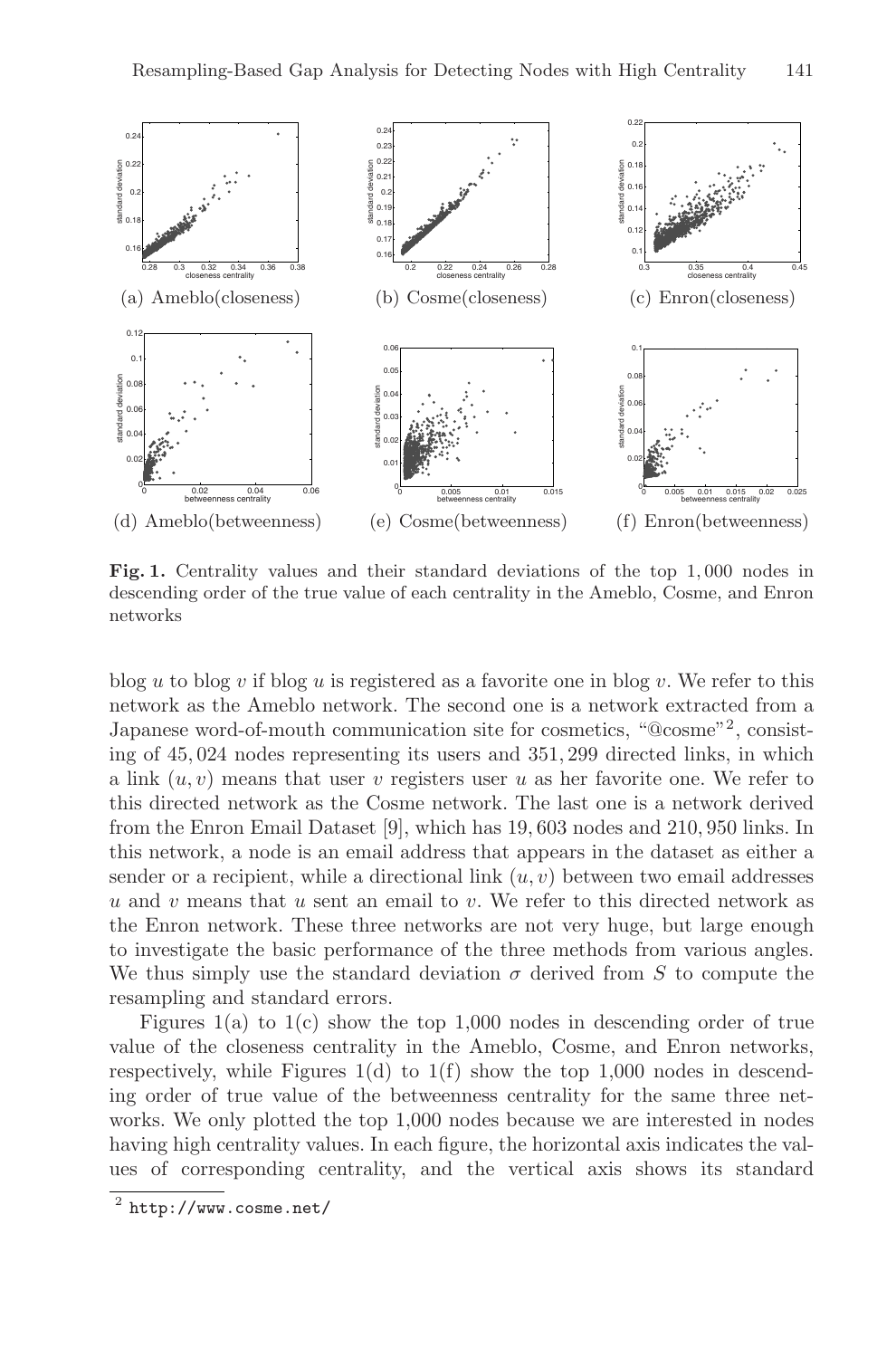

**Fig. 1.** Centrality values and their standard deviations of the top 1, 000 nodes in descending order of the true value of each centrality in the Ameblo, Cosme, and Enron networks

blog u to blog v if blog u is registered as a favorite one in blog v. We refer to this network as the Ameblo network. The second one is a network extracted from a Japanese word-of-mouth communication site for cosmetics, "@cosme"<sup>2</sup>, consisting of 45, 024 nodes representing its users and 351, 299 directed links, in which a link  $(u, v)$  means that user v registers user u as her favorite one. We refer to this directed network as the Cosme network. The last one is a network derived from the Enron Email Dataset [9], which has 19, 603 nodes and 210, 950 links. In this network, a node is an email address that appears in the dataset as either a sender or a recipient, while a directional link  $(u, v)$  between two email addresses u and v means that u sent an email to v. We refer to this directed network as the Enron network. These three networks are not very huge, but large enough to investigate the basic performance of the three methods from various angles. We thus simply use the standard deviation  $\sigma$  derived from S to compute the resampling and standard errors.

Figures 1(a) to 1(c) show the top 1,000 nodes in descending order of true value of the closeness centrality in the Ameblo, Cosme, and Enron networks, respectively, while Figures  $1(d)$  to  $1(f)$  show the top 1,000 nodes in descending order of true value of the betweenness centrality for the same three networks. We only plotted the top 1,000 nodes because we are interested in nodes having high centrality values. In each figure, the horizontal axis indicates the values of corresponding centrality, and the vertical axis shows its standard

http://www.cosme.net/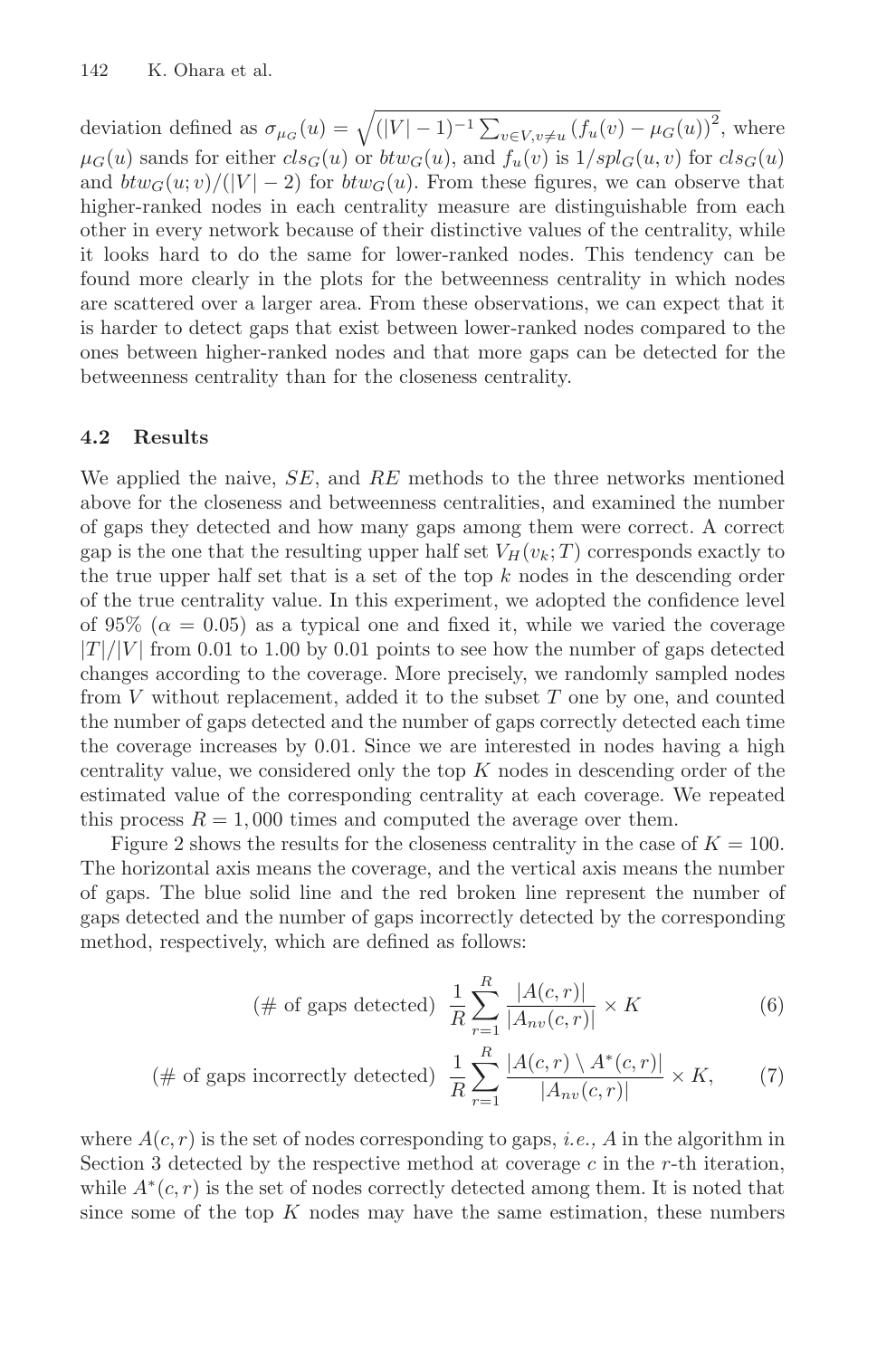deviation defined as  $\sigma_{\mu_G}(u) = \sqrt{(|V| - 1)^{-1} \sum_{v \in V, v \neq u} (f_u(v) - \mu_G(u))^2}$ , where  $\mu_G(u)$  sands for either  $cls_G(u)$  or  $btw_G(u)$ , and  $f_u(v)$  is  $1/spl_G(u, v)$  for  $cls_G(u)$ and  $btw_G(u; v)/(|V| - 2)$  for  $btw_G(u)$ . From these figures, we can observe that higher-ranked nodes in each centrality measure are distinguishable from each other in every network because of their distinctive values of the centrality, while it looks hard to do the same for lower-ranked nodes. This tendency can be found more clearly in the plots for the betweenness centrality in which nodes are scattered over a larger area. From these observations, we can expect that it is harder to detect gaps that exist between lower-ranked nodes compared to the ones between higher-ranked nodes and that more gaps can be detected for the betweenness centrality than for the closeness centrality.

#### **4.2 Results**

We applied the naive,  $SE$ , and  $RE$  methods to the three networks mentioned above for the closeness and betweenness centralities, and examined the number of gaps they detected and how many gaps among them were correct. A correct gap is the one that the resulting upper half set  $V_H(v_k;T)$  corresponds exactly to the true upper half set that is a set of the top  $k$  nodes in the descending order of the true centrality value. In this experiment, we adopted the confidence level of 95% ( $\alpha = 0.05$ ) as a typical one and fixed it, while we varied the coverage  $|T|/|V|$  from 0.01 to 1.00 by 0.01 points to see how the number of gaps detected changes according to the coverage. More precisely, we randomly sampled nodes from  $V$  without replacement, added it to the subset  $T$  one by one, and counted the number of gaps detected and the number of gaps correctly detected each time the coverage increases by 0.01. Since we are interested in nodes having a high centrality value, we considered only the top  $K$  nodes in descending order of the estimated value of the corresponding centrality at each coverage. We repeated this process  $R = 1,000$  times and computed the average over them.

Figure 2 shows the results for the closeness centrality in the case of  $K = 100$ . The horizontal axis means the coverage, and the vertical axis means the number of gaps. The blue solid line and the red broken line represent the number of gaps detected and the number of gaps incorrectly detected by the corresponding method, respectively, which are defined as follows:

$$
(\# \text{ of gaps detected}) \frac{1}{R} \sum_{r=1}^{R} \frac{|A(c,r)|}{|A_{nv}(c,r)|} \times K
$$
 (6)

$$
(\# \text{ of gaps incorrectly detected}) \frac{1}{R} \sum_{r=1}^{R} \frac{|A(c,r) \setminus A^*(c,r)|}{|A_{nv}(c,r)|} \times K,
$$
 (7)

where  $A(c, r)$  is the set of nodes corresponding to gaps, *i.e.*, A in the algorithm in Section 3 detected by the respective method at coverage  $c$  in the r-th iteration, while  $A^*(c, r)$  is the set of nodes correctly detected among them. It is noted that since some of the top  $K$  nodes may have the same estimation, these numbers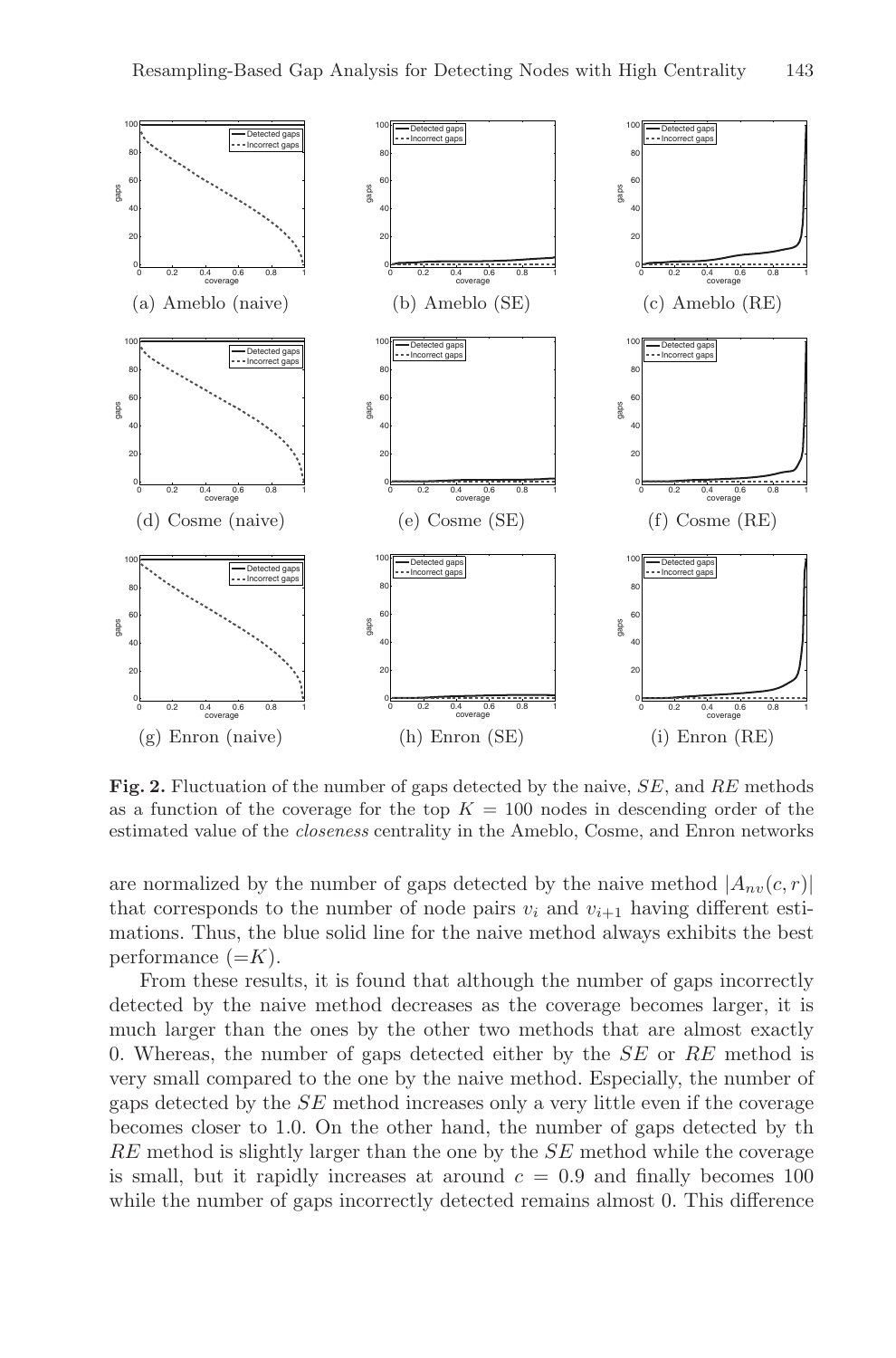

**Fig. 2.** Fluctuation of the number of gaps detected by the naive, SE, and RE methods as a function of the coverage for the top  $K = 100$  nodes in descending order of the estimated value of the *closeness* centrality in the Ameblo, Cosme, and Enron networks

are normalized by the number of gaps detected by the naive method  $|A_{nv}(c, r)|$ that corresponds to the number of node pairs  $v_i$  and  $v_{i+1}$  having different estimations. Thus, the blue solid line for the naive method always exhibits the best performance  $(=K)$ .

From these results, it is found that although the number of gaps incorrectly detected by the naive method decreases as the coverage becomes larger, it is much larger than the ones by the other two methods that are almost exactly 0. Whereas, the number of gaps detected either by the  $SE$  or  $RE$  method is very small compared to the one by the naive method. Especially, the number of gaps detected by the SE method increases only a very little even if the coverage becomes closer to 1.0. On the other hand, the number of gaps detected by th  $RE$  method is slightly larger than the one by the  $SE$  method while the coverage is small, but it rapidly increases at around  $c = 0.9$  and finally becomes 100 while the number of gaps incorrectly detected remains almost 0. This difference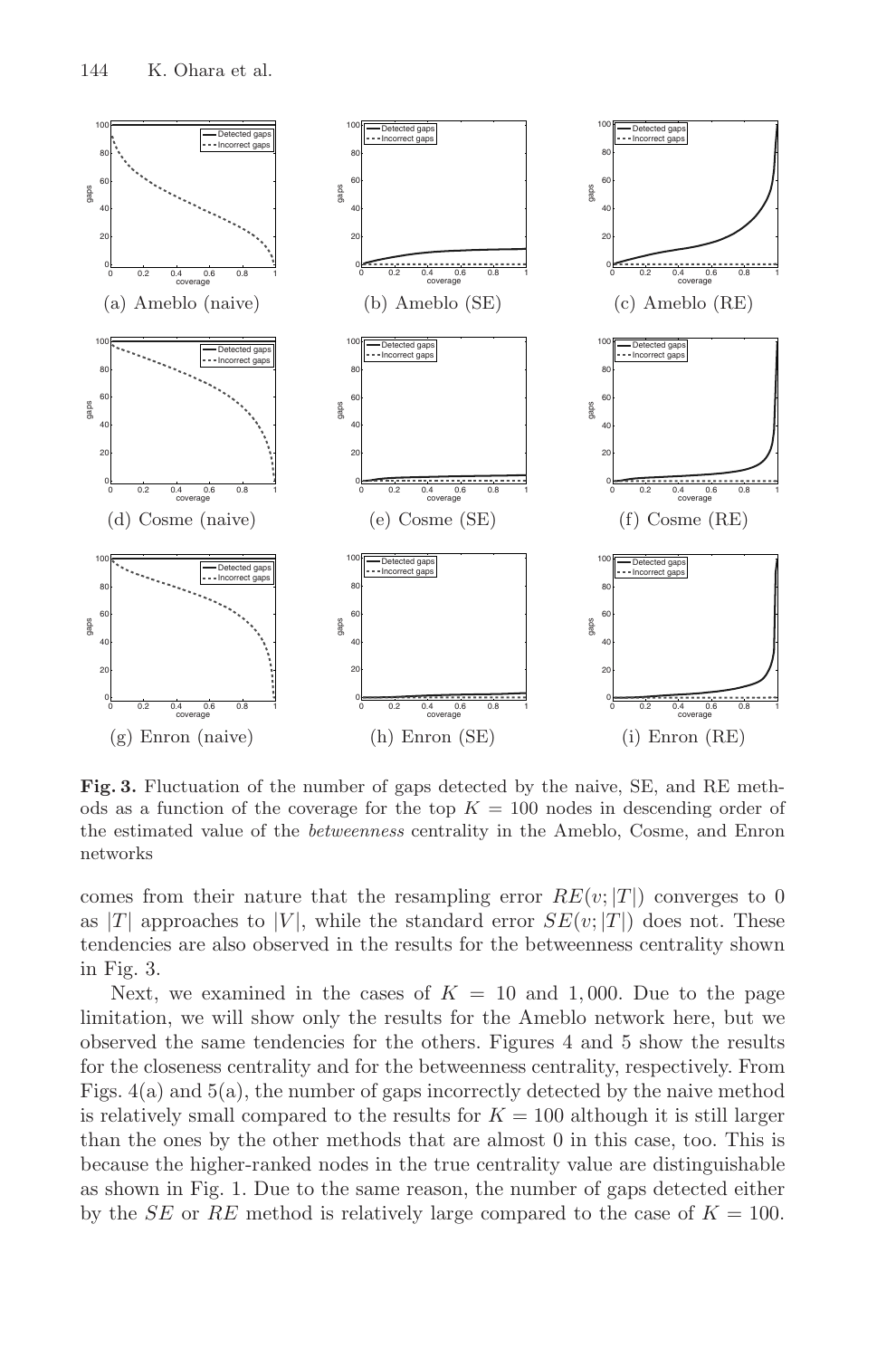

**Fig. 3.** Fluctuation of the number of gaps detected by the naive, SE, and RE methods as a function of the coverage for the top  $K = 100$  nodes in descending order of the estimated value of the *betweenness* centrality in the Ameblo, Cosme, and Enron networks

comes from their nature that the resampling error  $RE(v; |T|)$  converges to 0 as |T| approaches to |V|, while the standard error  $SE(v; |T|)$  does not. These tendencies are also observed in the results for the betweenness centrality shown in Fig. 3.

Next, we examined in the cases of  $K = 10$  and 1,000. Due to the page limitation, we will show only the results for the Ameblo network here, but we observed the same tendencies for the others. Figures 4 and 5 show the results for the closeness centrality and for the betweenness centrality, respectively. From Figs. 4(a) and 5(a), the number of gaps incorrectly detected by the naive method is relatively small compared to the results for  $K = 100$  although it is still larger than the ones by the other methods that are almost 0 in this case, too. This is because the higher-ranked nodes in the true centrality value are distinguishable as shown in Fig. 1. Due to the same reason, the number of gaps detected either by the SE or RE method is relatively large compared to the case of  $K = 100$ .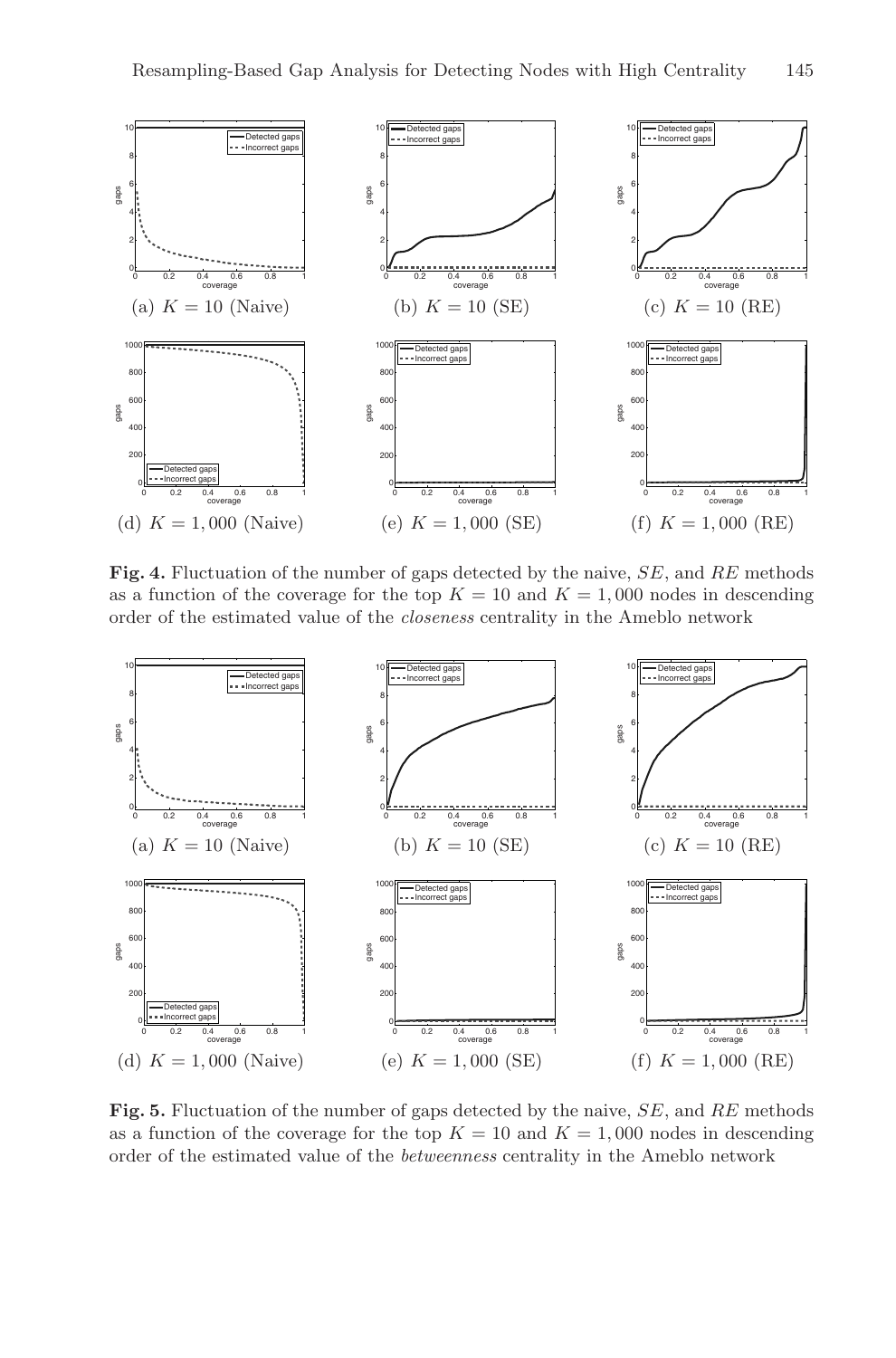

**Fig. 4.** Fluctuation of the number of gaps detected by the naive, SE, and RE methods as a function of the coverage for the top  $K = 10$  and  $K = 1,000$  nodes in descending order of the estimated value of the *closeness* centrality in the Ameblo network



**Fig. 5.** Fluctuation of the number of gaps detected by the naive, SE, and RE methods as a function of the coverage for the top  $K = 10$  and  $K = 1,000$  nodes in descending order of the estimated value of the *betweenness* centrality in the Ameblo network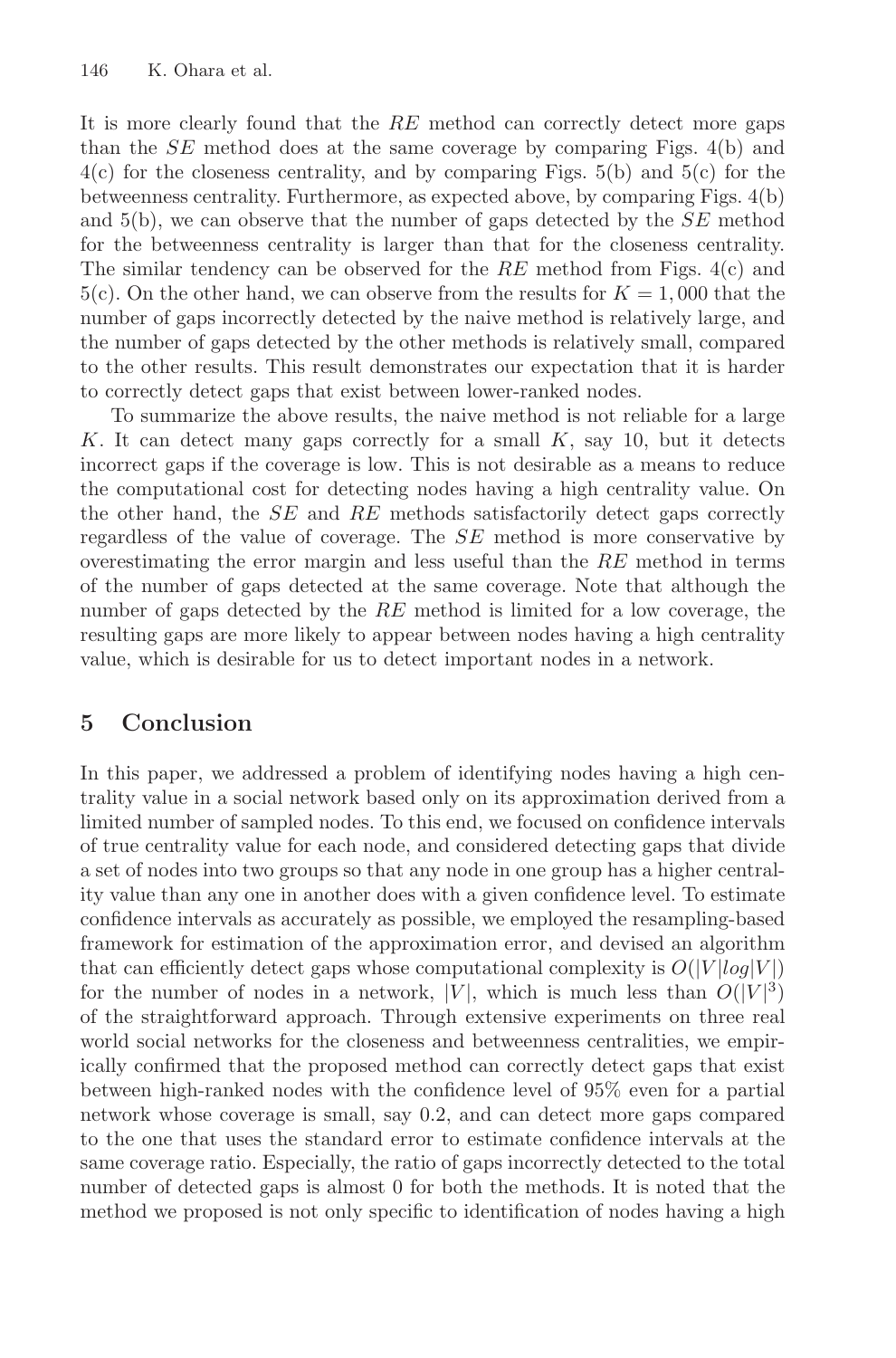It is more clearly found that the RE method can correctly detect more gaps than the  $SE$  method does at the same coverage by comparing Figs. 4(b) and  $4(c)$  for the closeness centrality, and by comparing Figs. 5(b) and 5(c) for the betweenness centrality. Furthermore, as expected above, by comparing Figs. 4(b) and 5(b), we can observe that the number of gaps detected by the SE method for the betweenness centrality is larger than that for the closeness centrality. The similar tendency can be observed for the  $RE$  method from Figs.  $4(c)$  and  $5(c)$ . On the other hand, we can observe from the results for  $K = 1,000$  that the number of gaps incorrectly detected by the naive method is relatively large, and the number of gaps detected by the other methods is relatively small, compared to the other results. This result demonstrates our expectation that it is harder to correctly detect gaps that exist between lower-ranked nodes.

To summarize the above results, the naive method is not reliable for a large  $K$ . It can detect many gaps correctly for a small  $K$ , say 10, but it detects incorrect gaps if the coverage is low. This is not desirable as a means to reduce the computational cost for detecting nodes having a high centrality value. On the other hand, the SE and RE methods satisfactorily detect gaps correctly regardless of the value of coverage. The SE method is more conservative by overestimating the error margin and less useful than the RE method in terms of the number of gaps detected at the same coverage. Note that although the number of gaps detected by the RE method is limited for a low coverage, the resulting gaps are more likely to appear between nodes having a high centrality value, which is desirable for us to detect important nodes in a network.

# **5 Conclusion**

In this paper, we addressed a problem of identifying nodes having a high centrality value in a social network based only on its approximation derived from a limited number of sampled nodes. To this end, we focused on confidence intervals of true centrality value for each node, and considered detecting gaps that divide a set of nodes into two groups so that any node in one group has a higher centrality value than any one in another does with a given confidence level. To estimate confidence intervals as accurately as possible, we employed the resampling-based framework for estimation of the approximation error, and devised an algorithm that can efficiently detect gaps whose computational complexity is  $O(|V|log|V|)$ for the number of nodes in a network,  $|V|$ , which is much less than  $O(|V|^3)$ of the straightforward approach. Through extensive experiments on three real world social networks for the closeness and betweenness centralities, we empirically confirmed that the proposed method can correctly detect gaps that exist between high-ranked nodes with the confidence level of 95% even for a partial network whose coverage is small, say 0.2, and can detect more gaps compared to the one that uses the standard error to estimate confidence intervals at the same coverage ratio. Especially, the ratio of gaps incorrectly detected to the total number of detected gaps is almost 0 for both the methods. It is noted that the method we proposed is not only specific to identification of nodes having a high